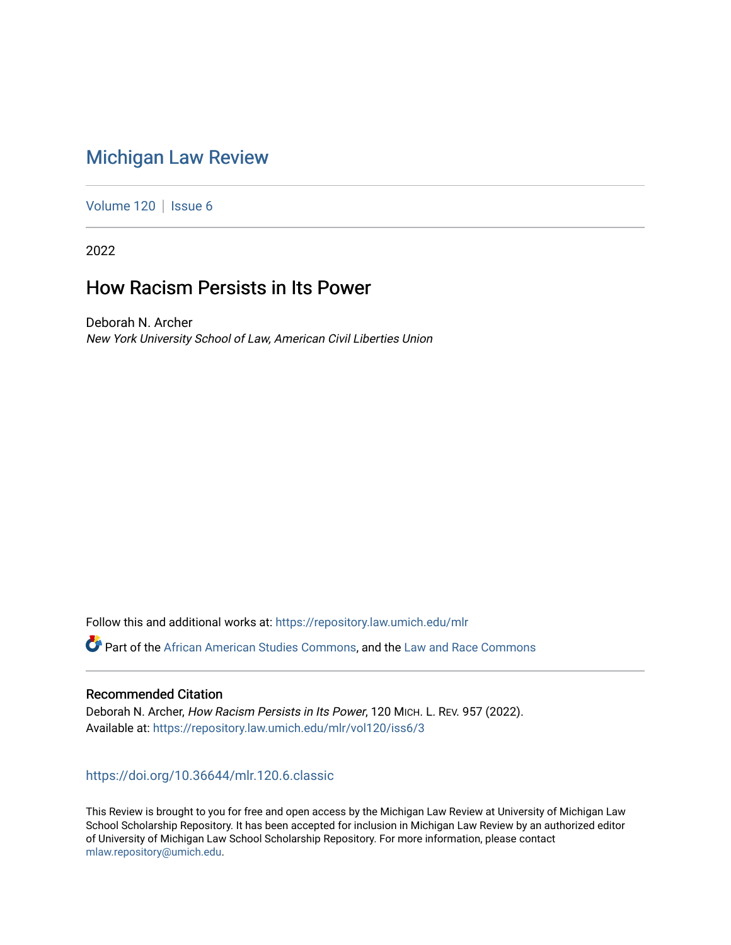# [Michigan Law Review](https://repository.law.umich.edu/mlr)

[Volume 120](https://repository.law.umich.edu/mlr/vol120) | [Issue 6](https://repository.law.umich.edu/mlr/vol120/iss6)

2022

# How Racism Persists in Its Power

Deborah N. Archer New York University School of Law, American Civil Liberties Union

Follow this and additional works at: [https://repository.law.umich.edu/mlr](https://repository.law.umich.edu/mlr?utm_source=repository.law.umich.edu%2Fmlr%2Fvol120%2Fiss6%2F3&utm_medium=PDF&utm_campaign=PDFCoverPages) 

**C** Part of the [African American Studies Commons,](http://network.bepress.com/hgg/discipline/567?utm_source=repository.law.umich.edu%2Fmlr%2Fvol120%2Fiss6%2F3&utm_medium=PDF&utm_campaign=PDFCoverPages) and the [Law and Race Commons](http://network.bepress.com/hgg/discipline/1300?utm_source=repository.law.umich.edu%2Fmlr%2Fvol120%2Fiss6%2F3&utm_medium=PDF&utm_campaign=PDFCoverPages)

## Recommended Citation

Deborah N. Archer, How Racism Persists in Its Power, 120 MICH. L. REV. 957 (2022). Available at: [https://repository.law.umich.edu/mlr/vol120/iss6/3](https://repository.law.umich.edu/mlr/vol120/iss6/3?utm_source=repository.law.umich.edu%2Fmlr%2Fvol120%2Fiss6%2F3&utm_medium=PDF&utm_campaign=PDFCoverPages) 

## <https://doi.org/10.36644/mlr.120.6.classic>

This Review is brought to you for free and open access by the Michigan Law Review at University of Michigan Law School Scholarship Repository. It has been accepted for inclusion in Michigan Law Review by an authorized editor of University of Michigan Law School Scholarship Repository. For more information, please contact [mlaw.repository@umich.edu.](mailto:mlaw.repository@umich.edu)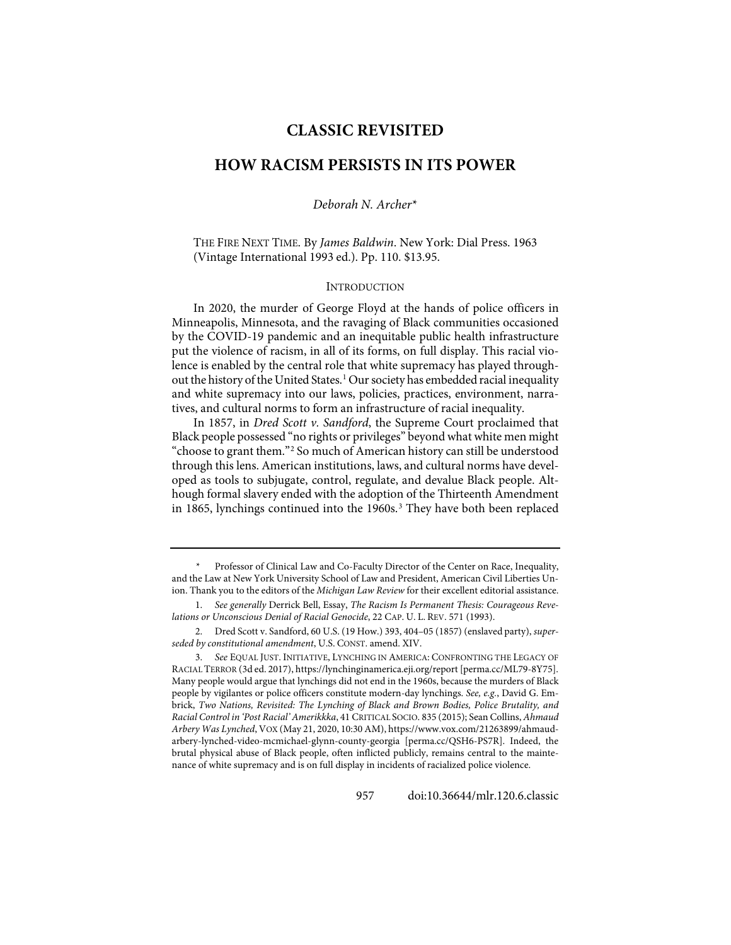## **CLASSIC REVISITED**

# **HOW RACISM PERSISTS IN ITS POWER**

*Deborah N. Archer*[\\*](#page-1-0)

THE FIRE NEXT TIME. By *James Baldwin*. New York: Dial Press. 1963 (Vintage International 1993 ed.). Pp. 110. \$13.95.

#### **INTRODUCTION**

In 2020, the murder of George Floyd at the hands of police officers in Minneapolis, Minnesota, and the ravaging of Black communities occasioned by the COVID-19 pandemic and an inequitable public health infrastructure put the violence of racism, in all of its forms, on full display. This racial violence is enabled by the central role that white supremacy has played through-out the history of the United States.<sup>[1](#page-1-1)</sup> Our society has embedded racial inequality and white supremacy into our laws, policies, practices, environment, narratives, and cultural norms to form an infrastructure of racial inequality.

In 1857, in *Dred Scott v. Sandford*, the Supreme Court proclaimed that Black people possessed "no rights or privileges" beyond what white men might "choose to grant them.["2](#page-1-2) So much of American history can still be understood through this lens. American institutions, laws, and cultural norms have developed as tools to subjugate, control, regulate, and devalue Black people. Although formal slavery ended with the adoption of the Thirteenth Amendment in 1865, lynchings continued into the 1960s. $3$  They have both been replaced

<span id="page-1-0"></span><sup>\*</sup> Professor of Clinical Law and Co-Faculty Director of the Center on Race, Inequality, and the Law at New York University School of Law and President, American Civil Liberties Union. Thank you to the editors of the *Michigan Law Review* for their excellent editorial assistance.

<span id="page-1-1"></span><sup>1.</sup> *See generally* Derrick Bell, Essay, *The Racism Is Permanent Thesis: Courageous Revelations or Unconscious Denial of Racial Genocide*, 22 CAP. U. L. REV. 571 (1993).

<span id="page-1-2"></span><sup>2.</sup> Dred Scott v. Sandford, 60 U.S. (19 How.) 393, 404–05 (1857) (enslaved party), *superseded by constitutional amendment*, U.S. CONST. amend. XIV.

<span id="page-1-3"></span><sup>3.</sup> *See* EQUAL JUST. INITIATIVE, LYNCHING IN AMERICA: CONFRONTING THE LEGACY OF RACIAL TERROR (3d ed. 2017)[, https://lynchinginamerica.eji.org/report](https://lynchinginamerica.eji.org/report/) [\[perma.cc/ML79-8Y75\]](https://perma.cc/ML79-8Y75). Many people would argue that lynchings did not end in the 1960s, because the murders of Black people by vigilantes or police officers constitute modern-day lynchings. *See, e.g.*, David G. Embrick, *Two Nations, Revisited: The Lynching of Black and Brown Bodies, Police Brutality, and Racial Control in 'Post Racial' Amerikkka*, 41 CRITICAL SOCIO. 835 (2015); Sean Collins, *Ahmaud Arbery Was Lynched*, VOX (May 21, 2020, 10:30 AM)[, https://www.vox.com/21263899/ahmaud](https://www.vox.com/21263899/ahmaud-arbery-lynched-video-mcmichael-glynn-county-georgia)[arbery-lynched-video-mcmichael-glynn-county-georgia](https://www.vox.com/21263899/ahmaud-arbery-lynched-video-mcmichael-glynn-county-georgia) [\[perma.cc/QSH6-PS7R\]](https://perma.cc/QSH6-PS7R). Indeed, the brutal physical abuse of Black people, often inflicted publicly, remains central to the maintenance of white supremacy and is on full display in incidents of racialized police violence.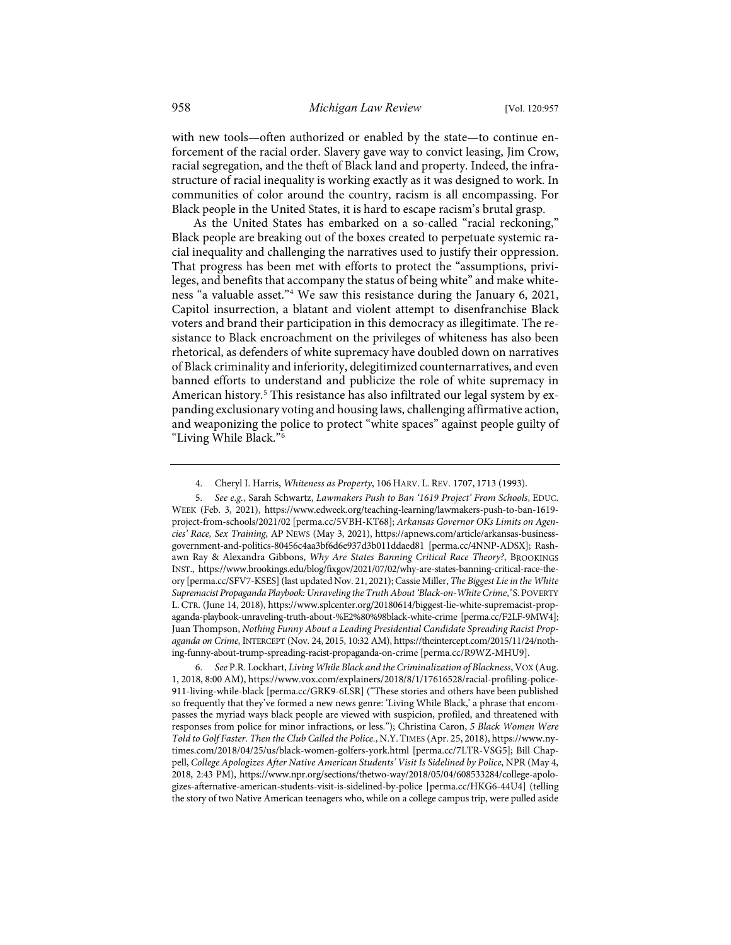with new tools—often authorized or enabled by the state—to continue enforcement of the racial order. Slavery gave way to convict leasing, Jim Crow, racial segregation, and the theft of Black land and property. Indeed, the infrastructure of racial inequality is working exactly as it was designed to work. In communities of color around the country, racism is all encompassing. For Black people in the United States, it is hard to escape racism's brutal grasp.

As the United States has embarked on a so-called "racial reckoning," Black people are breaking out of the boxes created to perpetuate systemic racial inequality and challenging the narratives used to justify their oppression. That progress has been met with efforts to protect the "assumptions, privileges, and benefits that accompany the status of being white" and make whiteness "a valuable asset."[4](#page-2-0) We saw this resistance during the January 6, 2021, Capitol insurrection, a blatant and violent attempt to disenfranchise Black voters and brand their participation in this democracy as illegitimate. The resistance to Black encroachment on the privileges of whiteness has also been rhetorical, as defenders of white supremacy have doubled down on narratives of Black criminality and inferiority, delegitimized counternarratives, and even banned efforts to understand and publicize the role of white supremacy in American history.<sup>[5](#page-2-1)</sup> This resistance has also infiltrated our legal system by expanding exclusionary voting and housing laws, challenging affirmative action, and weaponizing the police to protect "white spaces" against people guilty of "Living While Black."[6](#page-2-2)

<span id="page-2-1"></span><span id="page-2-0"></span>5. *See e.g.*, Sarah Schwartz, *Lawmakers Push to Ban '1619 Project' From Schools*, EDUC. WEEK (Feb. 3, 2021), [https://www.edweek.org/teaching-learning/lawmakers-push-to-ban-1619](https://www.edweek.org/teaching-learning/lawmakers-push-to-ban-1619-project-from-schools/2021/02) [project-from-schools/2021/02](https://www.edweek.org/teaching-learning/lawmakers-push-to-ban-1619-project-from-schools/2021/02) [\[perma.cc/5VBH-KT68\]](https://perma.cc/5VBH-KT68); *Arkansas Governor OKs Limits on Agencies' Race, Sex Training*, AP NEWS (May 3, 2021), [https://apnews.com/article/arkansas-business](https://apnews.com/article/arkansas-business-government-and-politics-80456c4aa3bf6d6e937d3b011ddaed81)[government-and-politics-80456c4aa3bf6d6e937d3b011ddaed81](https://apnews.com/article/arkansas-business-government-and-politics-80456c4aa3bf6d6e937d3b011ddaed81) [\[perma.cc/4NNP-ADSX\]](https://perma.cc/4NNP-ADSX); Rashawn Ray & Alexandra Gibbons, *Why Are States Banning Critical Race Theory?*, BROOKINGS INST., [https://www.brookings.edu/blog/fixgov/2021/07/02/why-are-states-banning-critical-race-the](https://www.brookings.edu/blog/fixgov/2021/07/02/why-are-states-banning-critical-race-theory/)[ory](https://www.brookings.edu/blog/fixgov/2021/07/02/why-are-states-banning-critical-race-theory/) [\[perma.cc/SFV7-KSES\]](https://perma.cc/SFV7-KSES) (last updated Nov. 21, 2021); Cassie Miller, *The Biggest Lie in the White Supremacist Propaganda Playbook: Unraveling the Truth About 'Black-on-White Crime*,*'* S.POVERTY L. CTR. (June 14, 2018)[, https://www.splcenter.org/20180614/biggest-lie-white-supremacist-prop](https://www.splcenter.org/20180614/biggest-lie-white-supremacist-propaganda-playbook-unraveling-truth-about-%E2%80%98black-white-crime)[aganda-playbook-unraveling-truth-about-%E2%80%98black-white-crime](https://www.splcenter.org/20180614/biggest-lie-white-supremacist-propaganda-playbook-unraveling-truth-about-%E2%80%98black-white-crime) [\[perma.cc/F2LF-9MW4\]](https://perma.cc/F2LF-9MW4); Juan Thompson, *Nothing Funny About a Leading Presidential Candidate Spreading Racist Propaganda on Crime*, INTERCEPT (Nov. 24, 2015, 10:32 AM)[, https://theintercept.com/2015/11/24/noth](https://theintercept.com/2015/11/24/nothing-funny-about-trump-spreading-racist-propaganda-on-crime/)[ing-funny-about-trump-spreading-racist-propaganda-on-crime](https://theintercept.com/2015/11/24/nothing-funny-about-trump-spreading-racist-propaganda-on-crime/) [\[perma.cc/R9WZ-MHU9\]](https://perma.cc/R9WZ-MHU9).

<span id="page-2-2"></span>6. *See* P.R. Lockhart, *Living While Black and the Criminalization of Blackness*, VOX (Aug. 1, 2018, 8:00 AM)[, https://www.vox.com/explainers/2018/8/1/17616528/racial-profiling-police-](https://www.vox.com/explainers/2018/8/1/17616528/racial-profiling-police-911-living-while-black)[911-living-while-black](https://www.vox.com/explainers/2018/8/1/17616528/racial-profiling-police-911-living-while-black) [\[perma.cc/GRK9-6LSR\]](https://perma.cc/GRK9-6LSR) ("These stories and others have been published so frequently that they've formed a new news genre: 'Living While Black,' a phrase that encompasses the myriad ways black people are viewed with suspicion, profiled, and threatened with responses from police for minor infractions, or less."); Christina Caron, *5 Black Women Were Told to Golf Faster. Then the Club Called the Police.*, N.Y.TIMES (Apr. 25, 2018)[, https://www.ny](https://www.nytimes.com/2018/04/25/us/black-women-golfers-york.html)[times.com/2018/04/25/us/black-women-golfers-york.html](https://www.nytimes.com/2018/04/25/us/black-women-golfers-york.html) [\[perma.cc/7LTR-VSG5\]](https://perma.cc/7LTR-VSG5); Bill Chappell, *College Apologizes After Native American Students' Visit Is Sidelined by Police*, NPR (May 4, 2018, 2:43 PM), [https://www.npr.org/sections/thetwo-way/2018/05/04/608533284/college-apolo](https://www.npr.org/sections/thetwo-way/2018/05/04/608533284/college-apologizes-afternative-american-students-visit-is-sidelined-by-police)[gizes-afternative-american-students-visit-is-sidelined-by-police](https://www.npr.org/sections/thetwo-way/2018/05/04/608533284/college-apologizes-afternative-american-students-visit-is-sidelined-by-police) [\[perma.cc/HKG6-44U4\]](https://perma.cc/HKG6-44U4) (telling the story of two Native American teenagers who, while on a college campus trip, were pulled aside

<span id="page-2-3"></span> <sup>4.</sup> Cheryl I. Harris, *Whiteness as Property*, 106 HARV. L. REV. 1707, 1713 (1993).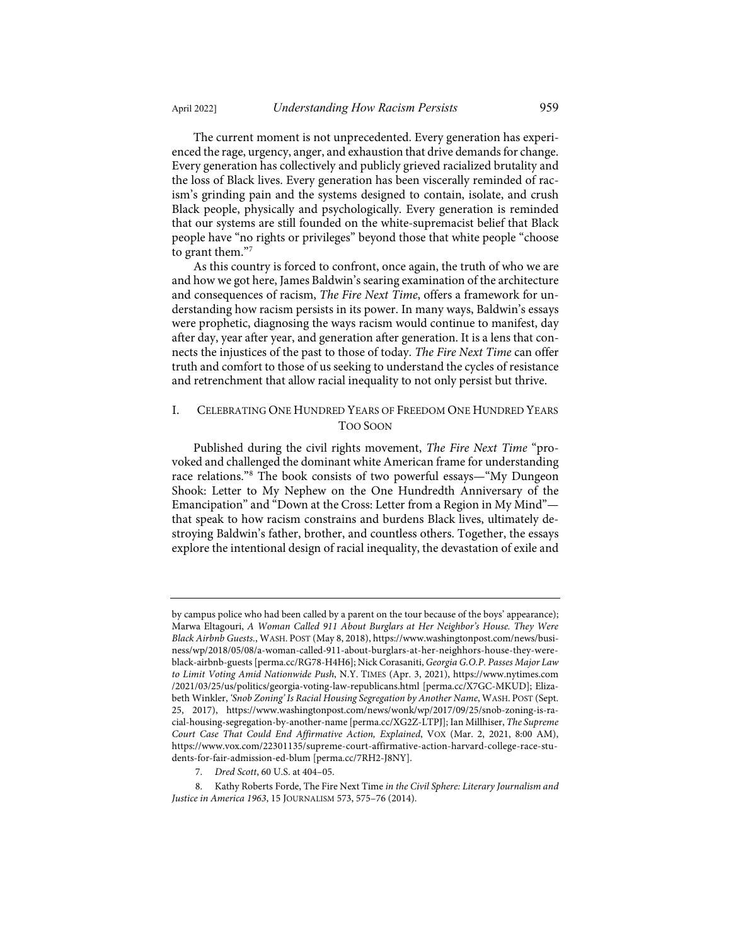The current moment is not unprecedented. Every generation has experienced the rage, urgency, anger, and exhaustion that drive demands for change. Every generation has collectively and publicly grieved racialized brutality and the loss of Black lives. Every generation has been viscerally reminded of racism's grinding pain and the systems designed to contain, isolate, and crush Black people, physically and psychologically. Every generation is reminded that our systems are still founded on the white-supremacist belief that Black people have "no rights or privileges" beyond those that white people "choose to grant them."[7](#page-3-0)

As this country is forced to confront, once again, the truth of who we are and how we got here, James Baldwin's searing examination of the architecture and consequences of racism, *The Fire Next Time*, offers a framework for understanding how racism persists in its power. In many ways, Baldwin's essays were prophetic, diagnosing the ways racism would continue to manifest, day after day, year after year, and generation after generation. It is a lens that connects the injustices of the past to those of today. *The Fire Next Time* can offer truth and comfort to those of us seeking to understand the cycles of resistance and retrenchment that allow racial inequality to not only persist but thrive.

## I. CELEBRATING ONE HUNDRED YEARS OF FREEDOM ONE HUNDRED YEARS TOO SOON

Published during the civil rights movement, *The Fire Next Time* "provoked and challenged the dominant white American frame for understanding race relations."[8](#page-3-1) The book consists of two powerful essays—"My Dungeon Shook: Letter to My Nephew on the One Hundredth Anniversary of the Emancipation" and "Down at the Cross: Letter from a Region in My Mind" that speak to how racism constrains and burdens Black lives, ultimately destroying Baldwin's father, brother, and countless others. Together, the essays explore the intentional design of racial inequality, the devastation of exile and

by campus police who had been called by a parent on the tour because of the boys' appearance); Marwa Eltagouri, *A Woman Called 911 About Burglars at Her Neighbor's House. They Were Black Airbnb Guests.*, WASH. POST (May 8, 2018)[, https://www.washingtonpost.com/news/busi](https://www.washingtonpost.com/news/business/wp/2018/05/08/a-woman-called-911-about-burglars-at-her-neighhors-house-they-were-black-airbnb-guests)[ness/wp/2018/05/08/a-woman-called-911-about-burglars-at-her-neighhors-house-they-were](https://www.washingtonpost.com/news/business/wp/2018/05/08/a-woman-called-911-about-burglars-at-her-neighhors-house-they-were-black-airbnb-guests)[black-airbnb-guests](https://www.washingtonpost.com/news/business/wp/2018/05/08/a-woman-called-911-about-burglars-at-her-neighhors-house-they-were-black-airbnb-guests) [\[perma.cc/RG78-H4H6\]](https://perma.cc/RG78-H4H6); Nick Corasaniti, *Georgia G.O.P. Passes Major Law to Limit Voting Amid Nationwide Push*, N.Y. TIMES (Apr. 3, 2021), [https://www.nytimes.com](https://www.nytimes.com/2021/03/25/us/politics/georgia-voting-law-republicans.html) [/2021/03/25/us/politics/georgia-voting-law-republicans.html](https://www.nytimes.com/2021/03/25/us/politics/georgia-voting-law-republicans.html) [\[perma.cc/X7GC-MKUD\]](https://perma.cc/X7GC-MKUD); Elizabeth Winkler, *'Snob Zoning' Is Racial Housing Segregation by Another Name*, WASH. POST (Sept. 25, 2017), [https://www.washingtonpost.com/news/wonk/wp/2017/09/25/snob-zoning-is-ra](https://www.washingtonpost.com/news/wonk/wp/2017/09/25/snob-zoning-is-racial-housing-segregation-by-another-name)[cial-housing-segregation-by-another-name](https://www.washingtonpost.com/news/wonk/wp/2017/09/25/snob-zoning-is-racial-housing-segregation-by-another-name) [\[perma.cc/XG2Z-LTPJ\]](https://perma.cc/XG2Z-LTPJ); Ian Millhiser, *The Supreme Court Case That Could End Affirmative Action, Explained*, VOX (Mar. 2, 2021, 8:00 AM), [https://www.vox.com/22301135/supreme-court-affirmative-action-harvard-college-race-stu](https://www.vox.com/22301135/supreme-court-affirmative-action-harvard-college-race-students-for-fair-admission-ed-blum)[dents-for-fair-admission-ed-blum](https://www.vox.com/22301135/supreme-court-affirmative-action-harvard-college-race-students-for-fair-admission-ed-blum) [\[perma.cc/7RH2-J8NY\]](https://perma.cc/7RH2-J8NY).

<sup>7.</sup> *Dred Scott*, 60 U.S. at 404–05.

<span id="page-3-1"></span><span id="page-3-0"></span> <sup>8.</sup> Kathy Roberts Forde, The Fire Next Time *in the Civil Sphere: Literary Journalism and Justice in America 1963*, 15 JOURNALISM 573, 575–76 (2014).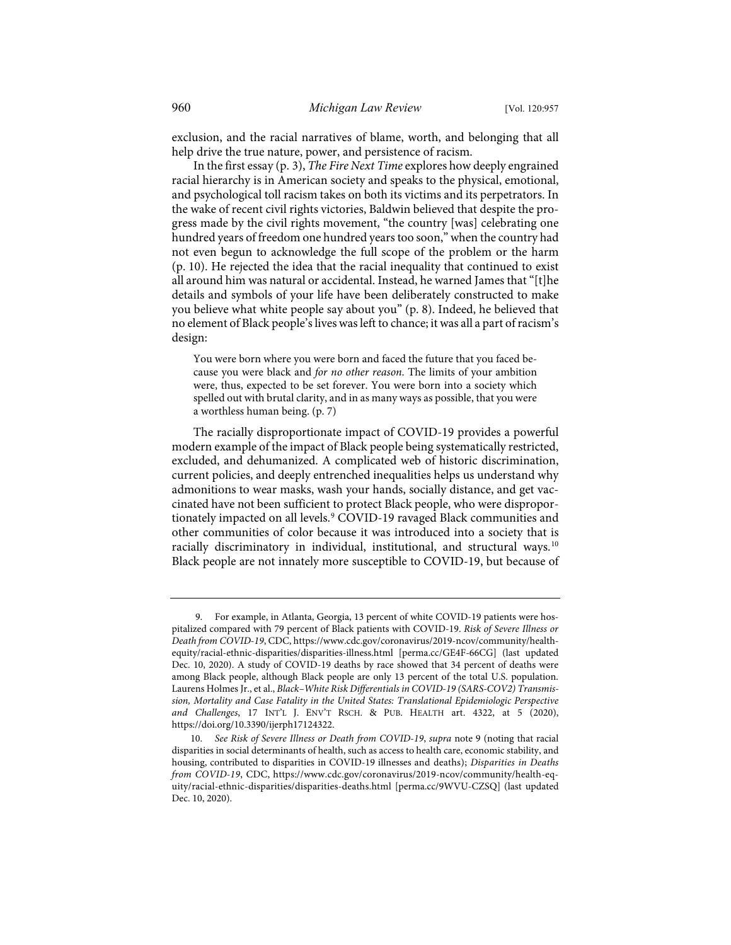exclusion, and the racial narratives of blame, worth, and belonging that all help drive the true nature, power, and persistence of racism.

In the first essay (p. 3), *The Fire Next Time* explores how deeply engrained racial hierarchy is in American society and speaks to the physical, emotional, and psychological toll racism takes on both its victims and its perpetrators. In the wake of recent civil rights victories, Baldwin believed that despite the progress made by the civil rights movement, "the country [was] celebrating one hundred years of freedom one hundred years too soon," when the country had not even begun to acknowledge the full scope of the problem or the harm (p. 10). He rejected the idea that the racial inequality that continued to exist all around him was natural or accidental. Instead, he warned James that "[t]he details and symbols of your life have been deliberately constructed to make you believe what white people say about you" (p. 8). Indeed, he believed that no element of Black people's lives was left to chance; it was all a part of racism's design:

You were born where you were born and faced the future that you faced because you were black and *for no other reason*. The limits of your ambition were, thus, expected to be set forever. You were born into a society which spelled out with brutal clarity, and in as many ways as possible, that you were a worthless human being. (p. 7)

<span id="page-4-0"></span>The racially disproportionate impact of COVID-19 provides a powerful modern example of the impact of Black people being systematically restricted, excluded, and dehumanized. A complicated web of historic discrimination, current policies, and deeply entrenched inequalities helps us understand why admonitions to wear masks, wash your hands, socially distance, and get vaccinated have not been sufficient to protect Black people, who were dispropor-tionately impacted on all levels.<sup>[9](#page-4-1)</sup> COVID-19 ravaged Black communities and other communities of color because it was introduced into a society that is racially discriminatory in individual, institutional, and structural ways.[10](#page-4-2) Black people are not innately more susceptible to COVID-19, but because of

<span id="page-4-1"></span> <sup>9.</sup> For example, in Atlanta, Georgia, 13 percent of white COVID-19 patients were hospitalized compared with 79 percent of Black patients with COVID-19. *Risk of Severe Illness or Death from COVID-19*, CDC[, https://www.cdc.gov/coronavirus/2019-ncov/community/health](https://www.cdc.gov/coronavirus/2019-ncov/community/health-equity/racial-ethnic-disparities/disparities-illness.html)[equity/racial-ethnic-disparities/disparities-illness.html](https://www.cdc.gov/coronavirus/2019-ncov/community/health-equity/racial-ethnic-disparities/disparities-illness.html) [\[perma.cc/GE4F-66CG\]](https://perma.cc/GE4F-66CG) (last updated Dec. 10, 2020). A study of COVID-19 deaths by race showed that 34 percent of deaths were among Black people, although Black people are only 13 percent of the total U.S. population. Laurens Holmes Jr., et al., *Black–White Risk Differentials in COVID-19 (SARS-COV2) Transmission, Mortality and Case Fatality in the United States: Translational Epidemiologic Perspective and Challenges*, 17 INT'L J. ENV'T RSCH. & PUB. HEALTH art. 4322, at 5 (2020), [https://doi.org/10.3390/ijerph17124322.](https://doi.org/10.3390/ijerph17124322) 

<span id="page-4-2"></span><sup>10.</sup> *See Risk of Severe Illness or Death from COVID-19*, *supra* not[e 9](#page-4-0) (noting that racial disparities in social determinants of health, such as access to health care, economic stability, and housing, contributed to disparities in COVID-19 illnesses and deaths); *Disparities in Deaths from COVID-19*, CDC, [https://www.cdc.gov/coronavirus/2019-ncov/community/health-eq](https://www.cdc.gov/coronavirus/2019-ncov/community/health-equity/racial-ethnic-disparities/disparities-deaths.html)[uity/racial-ethnic-disparities/disparities-deaths.html](https://www.cdc.gov/coronavirus/2019-ncov/community/health-equity/racial-ethnic-disparities/disparities-deaths.html) [\[perma.cc/9WVU-CZSQ\]](https://perma.cc/9WVU-CZSQ) (last updated Dec. 10, 2020).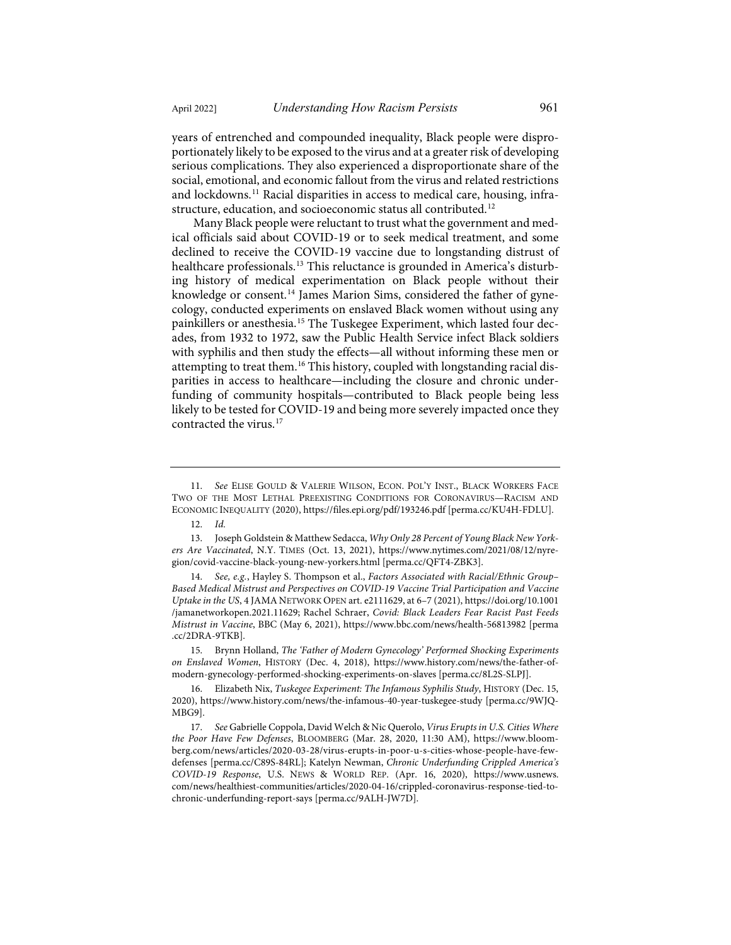years of entrenched and compounded inequality, Black people were disproportionately likely to be exposed to the virus and at a greater risk of developing serious complications. They also experienced a disproportionate share of the social, emotional, and economic fallout from the virus and related restrictions and lockdowns.[11](#page-5-0) Racial disparities in access to medical care, housing, infrastructure, education, and socioeconomic status all contributed.[12](#page-5-1)

<span id="page-5-8"></span>Many Black people were reluctant to trust what the government and medical officials said about COVID-19 or to seek medical treatment, and some declined to receive the COVID-19 vaccine due to longstanding distrust of healthcare professionals.<sup>[13](#page-5-2)</sup> This reluctance is grounded in America's disturbing history of medical experimentation on Black people without their knowledge or consent.<sup>[14](#page-5-3)</sup> James Marion Sims, considered the father of gynecology, conducted experiments on enslaved Black women without using any painkillers or anesthesia.<sup>[15](#page-5-4)</sup> The Tuskegee Experiment, which lasted four decades, from 1932 to 1972, saw the Public Health Service infect Black soldiers with syphilis and then study the effects—all without informing these men or attempting to treat them[.16](#page-5-5) This history, coupled with longstanding racial disparities in access to healthcare—including the closure and chronic underfunding of community hospitals—contributed to Black people being less likely to be tested for COVID-19 and being more severely impacted once they contracted the virus.<sup>[17](#page-5-6)</sup>

<span id="page-5-7"></span><span id="page-5-0"></span><sup>11.</sup> *See* ELISE GOULD & VALERIE WILSON, ECON. POL'Y INST., BLACK WORKERS FACE TWO OF THE MOST LETHAL PREEXISTING CONDITIONS FOR CORONAVIRUS—RACISM AND ECONOMIC INEQUALITY (2020)[, https://files.epi.org/pdf/193246.pdf](https://files.epi.org/pdf/193246.pdf) [\[perma.cc/KU4H-FDLU\]](https://perma.cc/KU4H-FDLU).

<sup>12.</sup> *Id.*

<span id="page-5-2"></span><span id="page-5-1"></span><sup>13.</sup> Joseph Goldstein & Matthew Sedacca, *Why Only 28 Percent of Young Black New Yorkers Are Vaccinated*, N.Y. TIMES (Oct. 13, 2021), [https://www.nytimes.com/2021/08/12/nyre](https://www.nytimes.com/2021/08/12/nyregion/covid-vaccine-black-young-new-yorkers.html)[gion/covid-vaccine-black-young-new-yorkers.html](https://www.nytimes.com/2021/08/12/nyregion/covid-vaccine-black-young-new-yorkers.html) [\[perma.cc/QFT4-ZBK3\]](https://perma.cc/QFT4-ZBK3).

<span id="page-5-3"></span><sup>14.</sup> *See, e.g.*, Hayley S. Thompson et al., *Factors Associated with Racial/Ethnic Group– Based Medical Mistrust and Perspectives on COVID-19 Vaccine Trial Participation and Vaccine Uptake in the US*, 4 JAMA NETWORK OPEN art. e2111629, at 6–7 (2021)[, https://doi.org/10.1001](https://doi.org/10.1001%E2%80%8C/jamanetworkopen.2021.11629) [/jamanetworkopen.2021.11629;](https://doi.org/10.1001%E2%80%8C/jamanetworkopen.2021.11629) Rachel Schraer, *Covid: Black Leaders Fear Racist Past Feeds Mistrust in Vaccine*, BBC (May 6, 2021)[, https://www.bbc.com/news/health-56813982](https://www.bbc.com/news/health-56813982) [\[perma](https://perma.cc/2DRA-9TKB) [.cc/2DRA-9TKB\]](https://perma.cc/2DRA-9TKB).

<span id="page-5-4"></span><sup>15.</sup> Brynn Holland, *The 'Father of Modern Gynecology' Performed Shocking Experiments on Enslaved Women*, HISTORY (Dec. 4, 2018), [https://www.history.com/news/the-father-of](https://www.history.com/news/the-father-of-modern-gynecology-performed-shocking-experiments-on-slaves)[modern-gynecology-performed-shocking-experiments-on-slaves](https://www.history.com/news/the-father-of-modern-gynecology-performed-shocking-experiments-on-slaves) [\[perma.cc/8L2S-SLPJ\]](https://perma.cc/8L2S-SLPJ).

<span id="page-5-5"></span><sup>16.</sup> Elizabeth Nix, *Tuskegee Experiment: The Infamous Syphilis Study*, HISTORY (Dec. 15, 2020),<https://www.history.com/news/the-infamous-40-year-tuskegee-study>[\[perma.cc/9WJQ-](https://perma.cc/9WJQ-MBG9)[MBG9\]](https://perma.cc/9WJQ-MBG9).

<span id="page-5-6"></span><sup>17.</sup> *See* Gabrielle Coppola, David Welch & Nic Querolo, *Virus Erupts in U.S. Cities Where the Poor Have Few Defenses*, BLOOMBERG (Mar. 28, 2020, 11:30 AM), [https://www.bloom](https://www.bloomberg.com/news/articles/2020-03-28/virus-erupts-in-poor-u-s-cities-whose-people-have-few-defenses)[berg.com/news/articles/2020-03-28/virus-erupts-in-poor-u-s-cities-whose-people-have-few](https://www.bloomberg.com/news/articles/2020-03-28/virus-erupts-in-poor-u-s-cities-whose-people-have-few-defenses)[defenses](https://www.bloomberg.com/news/articles/2020-03-28/virus-erupts-in-poor-u-s-cities-whose-people-have-few-defenses) [\[perma.cc/C89S-84RL\]](https://perma.cc/C89S-84RL); Katelyn Newman, *Chronic Underfunding Crippled America's COVID-19 Response*, U.S. NEWS & WORLD REP. (Apr. 16, 2020), [https://www.usnews.](https://www.usnews.com/news/healthiest-communities/articles/2020-04-16/crippled-coronavirus-response-tied-to-chronic-underfunding-report-says) [com/news/healthiest-communities/articles/2020-04-16/crippled-coronavirus-response-tied-to](https://www.usnews.com/news/healthiest-communities/articles/2020-04-16/crippled-coronavirus-response-tied-to-chronic-underfunding-report-says)[chronic-underfunding-report-says](https://www.usnews.com/news/healthiest-communities/articles/2020-04-16/crippled-coronavirus-response-tied-to-chronic-underfunding-report-says) [\[perma.cc/9ALH-JW7D\]](https://perma.cc/9ALH-JW7D).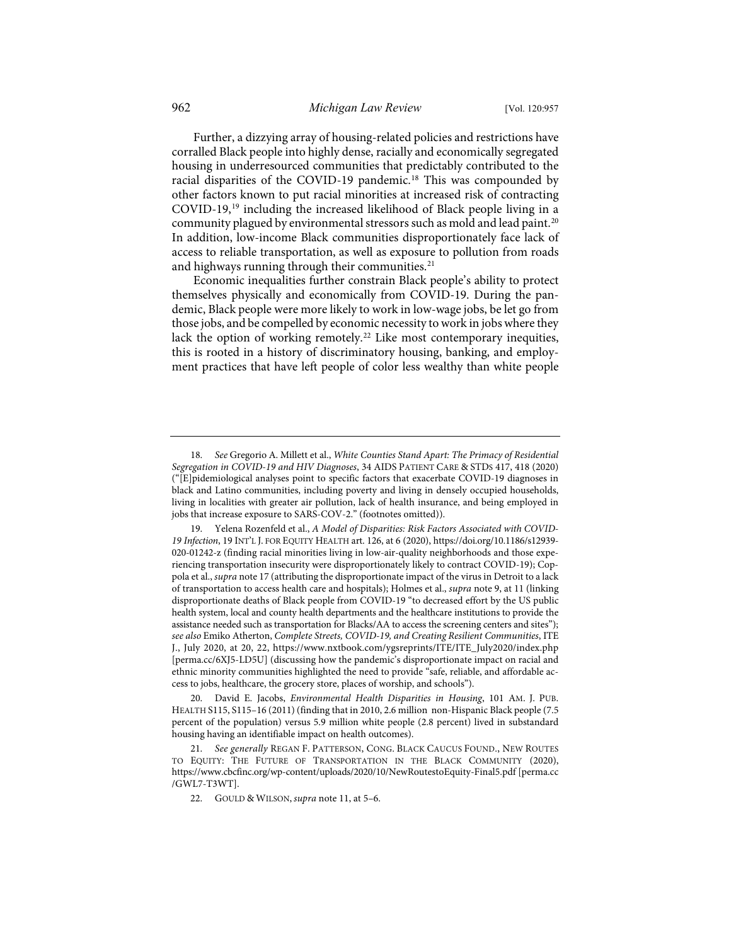Further, a dizzying array of housing-related policies and restrictions have corralled Black people into highly dense, racially and economically segregated housing in underresourced communities that predictably contributed to the racial disparities of the COVID-19 pandemic.<sup>[18](#page-6-0)</sup> This was compounded by other factors known to put racial minorities at increased risk of contracting COVID-19,[19](#page-6-1) including the increased likelihood of Black people living in a community plagued by environmental stressors such as mold and lead paint.<sup>[20](#page-6-2)</sup> In addition, low-income Black communities disproportionately face lack of access to reliable transportation, as well as exposure to pollution from roads and highways running through their communities.<sup>[21](#page-6-3)</sup>

Economic inequalities further constrain Black people's ability to protect themselves physically and economically from COVID-19. During the pandemic, Black people were more likely to work in low-wage jobs, be let go from those jobs, and be compelled by economic necessity to work in jobs where they lack the option of working remotely.<sup>22</sup> Like most contemporary inequities, this is rooted in a history of discriminatory housing, banking, and employment practices that have left people of color less wealthy than white people

<span id="page-6-2"></span>20. David E. Jacobs, *Environmental Health Disparities in Housing*, 101 AM. J. PUB. HEALTH S115, S115–16 (2011) (finding that in 2010, 2.6 million non-Hispanic Black people (7.5 percent of the population) versus 5.9 million white people (2.8 percent) lived in substandard housing having an identifiable impact on health outcomes).

<span id="page-6-0"></span><sup>18.</sup> *See* Gregorio A. Millett et al., *White Counties Stand Apart: The Primacy of Residential Segregation in COVID-19 and HIV Diagnoses*, 34 AIDS PATIENT CARE & STDS 417, 418 (2020) ("[E]pidemiological analyses point to specific factors that exacerbate COVID-19 diagnoses in black and Latino communities, including poverty and living in densely occupied households, living in localities with greater air pollution, lack of health insurance, and being employed in jobs that increase exposure to SARS-COV-2." (footnotes omitted)).

<span id="page-6-1"></span><sup>19.</sup> Yelena Rozenfeld et al., *A Model of Disparities: Risk Factors Associated with COVID-19 Infection*, 19 INT'L J. FOR EQUITY HEALTH art. 126, at 6 (2020)[, https://doi.org/10.1186/s12939-](https://doi.org/10.1186/s12939-020-01242-z) [020-01242-z](https://doi.org/10.1186/s12939-020-01242-z) (finding racial minorities living in low-air-quality neighborhoods and those experiencing transportation insecurity were disproportionately likely to contract COVID-19); Coppola et al., *supra* not[e 17](#page-5-7) (attributing the disproportionate impact of the virus in Detroit to a lack of transportation to access health care and hospitals); Holmes et al., *supra* not[e 9,](#page-4-0) at 11 (linking disproportionate deaths of Black people from COVID-19 "to decreased effort by the US public health system, local and county health departments and the healthcare institutions to provide the assistance needed such as transportation for Blacks/AA to access the screening centers and sites"); *see also* Emiko Atherton, *Complete Streets, COVID-19, and Creating Resilient Communities*, ITE J., July 2020, at 20, 22, [https://www.nxtbook.com/ygsreprints/ITE/ITE\\_July2020/index.php](https://www.nxtbook.com/ygsreprints/ITE/ITE_July2020/index.php) [\[perma.cc/6XJ5-LD5U\]](https://perma.cc/6XJ5-LD5U) (discussing how the pandemic's disproportionate impact on racial and ethnic minority communities highlighted the need to provide "safe, reliable, and affordable access to jobs, healthcare, the grocery store, places of worship, and schools").

<span id="page-6-4"></span><span id="page-6-3"></span><sup>21.</sup> *See generally* REGAN F. PATTERSON, CONG. BLACK CAUCUS FOUND., NEW ROUTES TO EQUITY: THE FUTURE OF TRANSPORTATION IN THE BLACK COMMUNITY (2020), <https://www.cbcfinc.org/wp-content/uploads/2020/10/NewRoutestoEquity-Final5.pdf>[\[perma.cc](https://perma.cc/GWL7-T3WT) [/GWL7-T3WT\]](https://perma.cc/GWL7-T3WT).

<sup>22.</sup> GOULD & WILSON, *supra* not[e 11,](#page-5-8) at 5–6.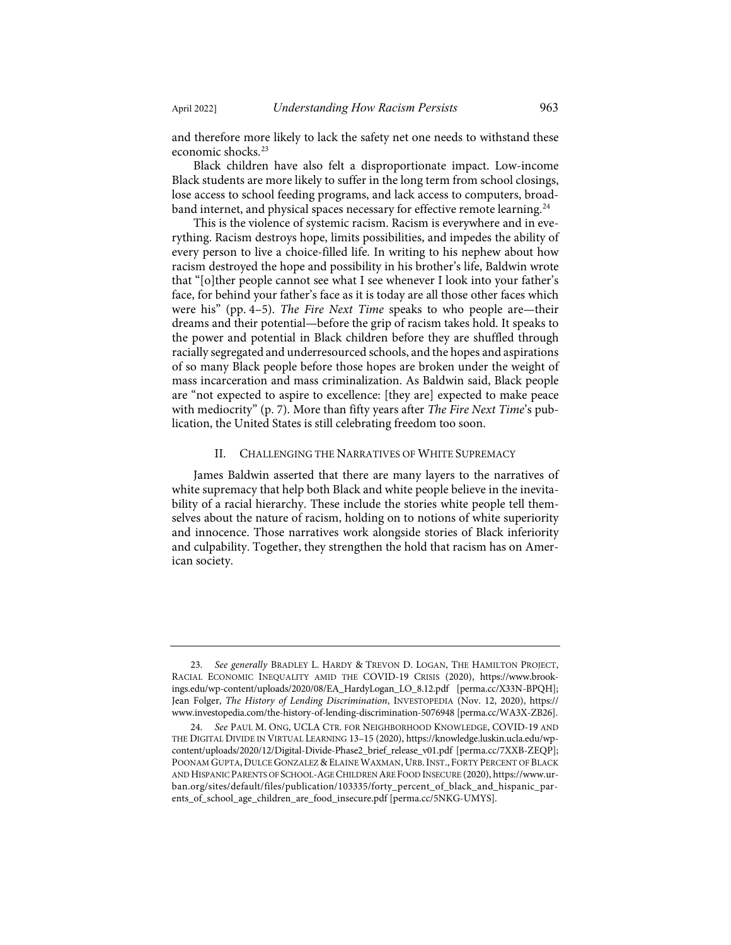and therefore more likely to lack the safety net one needs to withstand these economic shocks.[23](#page-7-0)

Black children have also felt a disproportionate impact. Low-income Black students are more likely to suffer in the long term from school closings, lose access to school feeding programs, and lack access to computers, broad-band internet, and physical spaces necessary for effective remote learning.<sup>[24](#page-7-1)</sup>

This is the violence of systemic racism. Racism is everywhere and in everything. Racism destroys hope, limits possibilities, and impedes the ability of every person to live a choice-filled life. In writing to his nephew about how racism destroyed the hope and possibility in his brother's life, Baldwin wrote that "[o]ther people cannot see what I see whenever I look into your father's face, for behind your father's face as it is today are all those other faces which were his" (pp. 4–5). *The Fire Next Time* speaks to who people are—their dreams and their potential—before the grip of racism takes hold. It speaks to the power and potential in Black children before they are shuffled through racially segregated and underresourced schools, and the hopes and aspirations of so many Black people before those hopes are broken under the weight of mass incarceration and mass criminalization. As Baldwin said, Black people are "not expected to aspire to excellence: [they are] expected to make peace with mediocrity" (p. 7). More than fifty years after *The Fire Next Time*'s publication, the United States is still celebrating freedom too soon.

#### II. CHALLENGING THE NARRATIVES OF WHITE SUPREMACY

James Baldwin asserted that there are many layers to the narratives of white supremacy that help both Black and white people believe in the inevitability of a racial hierarchy. These include the stories white people tell themselves about the nature of racism, holding on to notions of white superiority and innocence. Those narratives work alongside stories of Black inferiority and culpability. Together, they strengthen the hold that racism has on American society.

<span id="page-7-0"></span><sup>23.</sup> *See generally* BRADLEY L. HARDY & TREVON D. LOGAN, THE HAMILTON PROJECT, RACIAL ECONOMIC INEQUALITY AMID THE COVID-19 CRISIS (2020), [https://www.brook](https://www.brookings.edu/wp-content/uploads/2020/08/EA_HardyLogan_LO_8.12.pdf)[ings.edu/wp-content/uploads/2020/08/EA\\_HardyLogan\\_LO\\_8.12.pdf](https://www.brookings.edu/wp-content/uploads/2020/08/EA_HardyLogan_LO_8.12.pdf) [\[perma.cc/X33N-BPQH\]](https://perma.cc/X33N-BPQH); Jean Folger, *The History of Lending Discrimination*, INVESTOPEDIA (Nov. 12, 2020), [https://](https://www.investopedia.com/the-history-of-lending-discrimination-5076948) [www.investopedia.com/the-history-of-lending-discrimination-5076948](https://www.investopedia.com/the-history-of-lending-discrimination-5076948) [\[perma.cc/WA3X-ZB26\]](https://perma.cc/WA3X-ZB26).

<span id="page-7-1"></span><sup>24.</sup> *See* PAUL M. ONG, UCLA CTR. FOR NEIGHBORHOOD KNOWLEDGE, COVID-19 AND THE DIGITAL DIVIDE IN VIRTUAL LEARNING 13–15 (2020)[, https://knowledge.luskin.ucla.edu/wp](https://knowledge.luskin.ucla.edu/wp-content/uploads/2020/12/Digital-Divide-Phase2_brief_release_v01.pdf)[content/uploads/2020/12/Digital-Divide-Phase2\\_brief\\_release\\_v01.pdf](https://knowledge.luskin.ucla.edu/wp-content/uploads/2020/12/Digital-Divide-Phase2_brief_release_v01.pdf) [\[perma.cc/7XXB-ZEQP\]](https://perma.cc/7XXB-ZEQP); POONAM GUPTA, DULCE GONZALEZ & ELAINE WAXMAN, URB.INST., FORTY PERCENT OF BLACK AND HISPANIC PARENTS OF SCHOOL-AGE CHILDREN ARE FOOD INSECURE (2020), [https://www.ur](https://www.urban.org/sites/default/files/publication/103335/forty_percent_of_black_and_hispanic_parents_of_school_age_children_are_food_insecure.pdf)[ban.org/sites/default/files/publication/103335/forty\\_percent\\_of\\_black\\_and\\_hispanic\\_par](https://www.urban.org/sites/default/files/publication/103335/forty_percent_of_black_and_hispanic_parents_of_school_age_children_are_food_insecure.pdf)[ents\\_of\\_school\\_age\\_children\\_are\\_food\\_insecure.pdf](https://www.urban.org/sites/default/files/publication/103335/forty_percent_of_black_and_hispanic_parents_of_school_age_children_are_food_insecure.pdf) [\[perma.cc/5NKG-UMYS\]](https://perma.cc/5NKG-UMYS).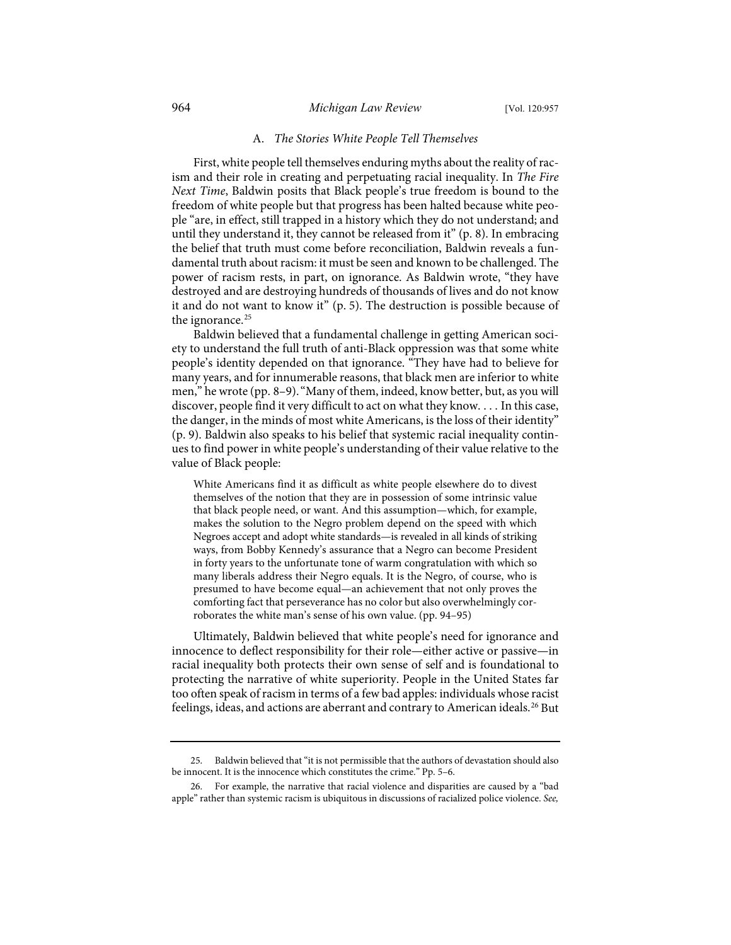## 964 *Michigan Law Review* [Vol. 120:957

#### A. *The Stories White People Tell Themselves*

First, white people tell themselves enduring myths about the reality of racism and their role in creating and perpetuating racial inequality. In *The Fire Next Time*, Baldwin posits that Black people's true freedom is bound to the freedom of white people but that progress has been halted because white people "are, in effect, still trapped in a history which they do not understand; and until they understand it, they cannot be released from it" (p. 8). In embracing the belief that truth must come before reconciliation, Baldwin reveals a fundamental truth about racism: it must be seen and known to be challenged. The power of racism rests, in part, on ignorance. As Baldwin wrote, "they have destroyed and are destroying hundreds of thousands of lives and do not know it and do not want to know it" (p. 5). The destruction is possible because of the ignorance.<sup>[25](#page-8-0)</sup>

Baldwin believed that a fundamental challenge in getting American society to understand the full truth of anti-Black oppression was that some white people's identity depended on that ignorance. "They have had to believe for many years, and for innumerable reasons, that black men are inferior to white men," he wrote (pp. 8–9)."Many of them, indeed, know better, but, as you will discover, people find it very difficult to act on what they know. . . . In this case, the danger, in the minds of most white Americans, is the loss of their identity" (p. 9). Baldwin also speaks to his belief that systemic racial inequality continues to find power in white people's understanding of their value relative to the value of Black people:

White Americans find it as difficult as white people elsewhere do to divest themselves of the notion that they are in possession of some intrinsic value that black people need, or want. And this assumption—which, for example, makes the solution to the Negro problem depend on the speed with which Negroes accept and adopt white standards—is revealed in all kinds of striking ways, from Bobby Kennedy's assurance that a Negro can become President in forty years to the unfortunate tone of warm congratulation with which so many liberals address their Negro equals. It is the Negro, of course, who is presumed to have become equal—an achievement that not only proves the comforting fact that perseverance has no color but also overwhelmingly corroborates the white man's sense of his own value. (pp. 94–95)

Ultimately, Baldwin believed that white people's need for ignorance and innocence to deflect responsibility for their role—either active or passive—in racial inequality both protects their own sense of self and is foundational to protecting the narrative of white superiority. People in the United States far too often speak of racism in terms of a few bad apples: individuals whose racist feelings, ideas, and actions are aberrant and contrary to American ideals.<sup>[26](#page-8-1)</sup> But

<span id="page-8-0"></span><sup>25.</sup> Baldwin believed that "it is not permissible that the authors of devastation should also be innocent. It is the innocence which constitutes the crime." Pp. 5–6.

<span id="page-8-1"></span><sup>26.</sup> For example, the narrative that racial violence and disparities are caused by a "bad apple" rather than systemic racism is ubiquitous in discussions of racialized police violence. *See,*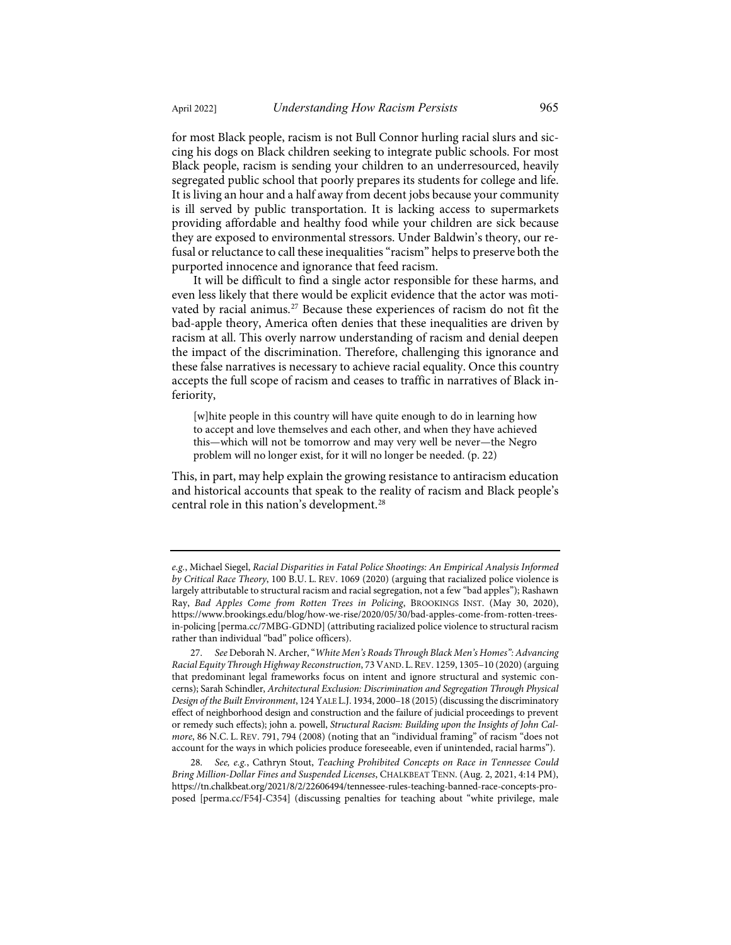for most Black people, racism is not Bull Connor hurling racial slurs and siccing his dogs on Black children seeking to integrate public schools. For most Black people, racism is sending your children to an underresourced, heavily segregated public school that poorly prepares its students for college and life. It is living an hour and a half away from decent jobs because your community is ill served by public transportation. It is lacking access to supermarkets providing affordable and healthy food while your children are sick because they are exposed to environmental stressors. Under Baldwin's theory, our refusal or reluctance to call these inequalities "racism" helps to preserve both the purported innocence and ignorance that feed racism.

It will be difficult to find a single actor responsible for these harms, and even less likely that there would be explicit evidence that the actor was moti-vated by racial animus.<sup>[27](#page-9-0)</sup> Because these experiences of racism do not fit the bad-apple theory, America often denies that these inequalities are driven by racism at all. This overly narrow understanding of racism and denial deepen the impact of the discrimination. Therefore, challenging this ignorance and these false narratives is necessary to achieve racial equality. Once this country accepts the full scope of racism and ceases to traffic in narratives of Black inferiority,

[w]hite people in this country will have quite enough to do in learning how to accept and love themselves and each other, and when they have achieved this—which will not be tomorrow and may very well be never—the Negro problem will no longer exist, for it will no longer be needed. (p. 22)

This, in part, may help explain the growing resistance to antiracism education and historical accounts that speak to the reality of racism and Black people's central role in this nation's development.[28](#page-9-1)

*e.g.*, Michael Siegel, *Racial Disparities in Fatal Police Shootings: An Empirical Analysis Informed by Critical Race Theory*, 100 B.U. L. REV. 1069 (2020) (arguing that racialized police violence is largely attributable to structural racism and racial segregation, not a few "bad apples"); Rashawn Ray, *Bad Apples Come from Rotten Trees in Policing*, BROOKINGS INST. (May 30, 2020), [https://www.brookings.edu/blog/how-we-rise/2020/05/30/bad-apples-come-from-rotten-trees](https://www.brookings.edu/blog/how-we-rise/2020/05/30/bad-apples-come-from-rotten-trees-in-policing/)[in-policing](https://www.brookings.edu/blog/how-we-rise/2020/05/30/bad-apples-come-from-rotten-trees-in-policing/) [\[perma.cc/7MBG-GDND\]](https://perma.cc/7MBG-GDND) (attributing racialized police violence to structural racism rather than individual "bad" police officers).

<span id="page-9-0"></span><sup>27.</sup> *See* Deborah N. Archer, "*White Men's Roads Through Black Men's Homes": Advancing Racial Equity Through Highway Reconstruction*, 73 VAND. L.REV. 1259, 1305–10 (2020) (arguing that predominant legal frameworks focus on intent and ignore structural and systemic concerns); Sarah Schindler, *Architectural Exclusion: Discrimination and Segregation Through Physical Design of the Built Environment*, 124 YALE L.J. 1934, 2000–18 (2015) (discussing the discriminatory effect of neighborhood design and construction and the failure of judicial proceedings to prevent or remedy such effects); john a. powell, *Structural Racism: Building upon the Insights of John Calmore*, 86 N.C. L. REV. 791, 794 (2008) (noting that an "individual framing" of racism "does not account for the ways in which policies produce foreseeable, even if unintended, racial harms").

<span id="page-9-1"></span><sup>28.</sup> *See, e.g.*, Cathryn Stout, *Teaching Prohibited Concepts on Race in Tennessee Could Bring Million-Dollar Fines and Suspended Licenses*, CHALKBEAT TENN. (Aug. 2, 2021, 4:14 PM), [https://tn.chalkbeat.org/2021/8/2/22606494/tennessee-rules-teaching-banned-race-concepts-pro](https://tn.chalkbeat.org/2021/8/2/22606494/tennessee-rules-teaching-banned-race-concepts-proposed)[posed](https://tn.chalkbeat.org/2021/8/2/22606494/tennessee-rules-teaching-banned-race-concepts-proposed) [\[perma.cc/F54J-C354\]](https://perma.cc/F54J-C354) (discussing penalties for teaching about "white privilege, male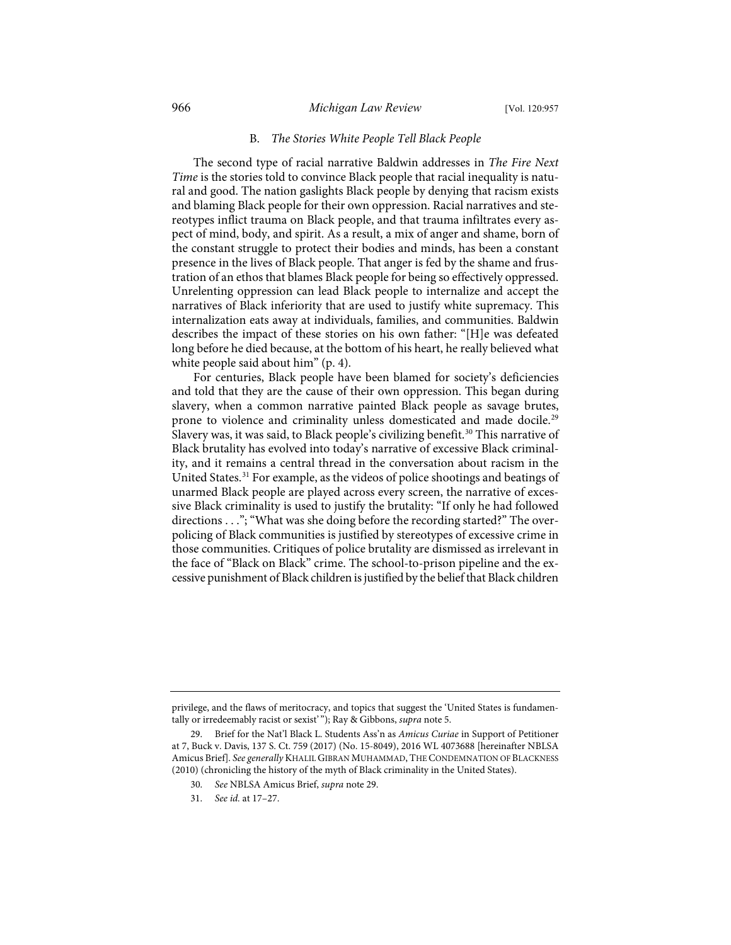## 966 *Michigan Law Review* [Vol. 120:957

#### B. *The Stories White People Tell Black People*

The second type of racial narrative Baldwin addresses in *The Fire Next Time* is the stories told to convince Black people that racial inequality is natural and good. The nation gaslights Black people by denying that racism exists and blaming Black people for their own oppression. Racial narratives and stereotypes inflict trauma on Black people, and that trauma infiltrates every aspect of mind, body, and spirit. As a result, a mix of anger and shame, born of the constant struggle to protect their bodies and minds, has been a constant presence in the lives of Black people. That anger is fed by the shame and frustration of an ethos that blames Black people for being so effectively oppressed. Unrelenting oppression can lead Black people to internalize and accept the narratives of Black inferiority that are used to justify white supremacy. This internalization eats away at individuals, families, and communities. Baldwin describes the impact of these stories on his own father: "[H]e was defeated long before he died because, at the bottom of his heart, he really believed what white people said about him" (p. 4).

<span id="page-10-0"></span>For centuries, Black people have been blamed for society's deficiencies and told that they are the cause of their own oppression. This began during slavery, when a common narrative painted Black people as savage brutes, prone to violence and criminality unless domesticated and made docile.<sup>[29](#page-10-1)</sup> Slavery was, it was said, to Black people's civilizing benefit.<sup>[30](#page-10-2)</sup> This narrative of Black brutality has evolved into today's narrative of excessive Black criminality, and it remains a central thread in the conversation about racism in the United States.[31](#page-10-3) For example, as the videos of police shootings and beatings of unarmed Black people are played across every screen, the narrative of excessive Black criminality is used to justify the brutality: "If only he had followed directions . . ."; "What was she doing before the recording started?" The overpolicing of Black communities is justified by stereotypes of excessive crime in those communities. Critiques of police brutality are dismissed as irrelevant in the face of "Black on Black" crime. The school-to-prison pipeline and the excessive punishment of Black children is justified by the belief that Black children

privilege, and the flaws of meritocracy, and topics that suggest the 'United States is fundamentally or irredeemably racist or sexist' "); Ray & Gibbons, *supra* not[e 5.](#page-2-3) 

<span id="page-10-3"></span><span id="page-10-2"></span><span id="page-10-1"></span><sup>29.</sup> Brief for the Nat'l Black L. Students Ass'n as *Amicus Curiae* in Support of Petitioner at 7, Buck v. Davis, 137 S. Ct. 759 (2017) (No. 15-8049), 2016 WL 4073688 [hereinafter NBLSA Amicus Brief]. *See generally* KHALIL GIBRAN MUHAMMAD, THE CONDEMNATION OF BLACKNESS (2010) (chronicling the history of the myth of Black criminality in the United States).

<sup>30.</sup> *See* NBLSA Amicus Brief, *supra* not[e 29.](#page-10-0)

<sup>31.</sup> *See id.* at 17–27.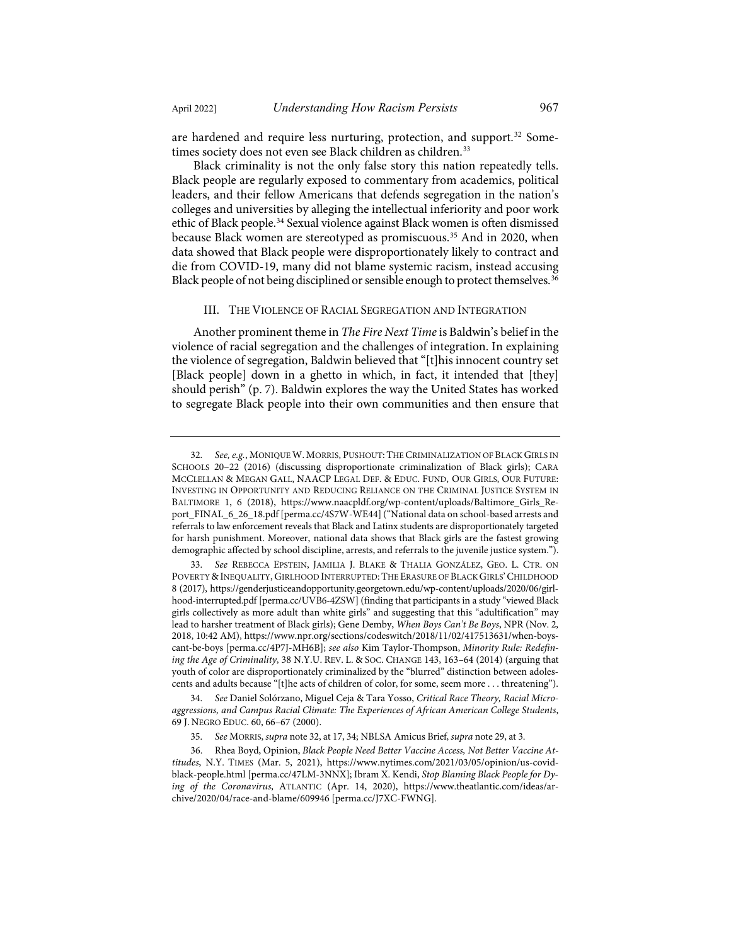<span id="page-11-0"></span>

are hardened and require less nurturing, protection, and support.<sup>[32](#page-11-1)</sup> Some-times society does not even see Black children as children.<sup>[33](#page-11-2)</sup>

Black criminality is not the only false story this nation repeatedly tells. Black people are regularly exposed to commentary from academics, political leaders, and their fellow Americans that defends segregation in the nation's colleges and universities by alleging the intellectual inferiority and poor work ethic of Black people.[34](#page-11-3) Sexual violence against Black women is often dismissed because Black women are stereotyped as promiscuous.<sup>[35](#page-11-4)</sup> And in 2020, when data showed that Black people were disproportionately likely to contract and die from COVID-19, many did not blame systemic racism, instead accusing Black people of not being disciplined or sensible enough to protect themselves. [36](#page-11-5)

#### III. THE VIOLENCE OF RACIAL SEGREGATION AND INTEGRATION

Another prominent theme in *The Fire Next Time* is Baldwin's belief in the violence of racial segregation and the challenges of integration. In explaining the violence of segregation, Baldwin believed that "[t]his innocent country set [Black people] down in a ghetto in which, in fact, it intended that [they] should perish" (p. 7). Baldwin explores the way the United States has worked to segregate Black people into their own communities and then ensure that

<span id="page-11-1"></span><sup>32.</sup> *See, e.g.*, MONIQUE W. MORRIS, PUSHOUT: THE CRIMINALIZATION OF BLACK GIRLS IN SCHOOLS 20-22 (2016) (discussing disproportionate criminalization of Black girls); CARA MCCLELLAN & MEGAN GALL, NAACP LEGAL DEF. & EDUC. FUND, OUR GIRLS, OUR FUTURE: INVESTING IN OPPORTUNITY AND REDUCING RELIANCE ON THE CRIMINAL JUSTICE SYSTEM IN BALTIMORE 1, 6 (2018), [https://www.naacpldf.org/wp-content/uploads/Baltimore\\_Girls\\_Re](https://www.naacpldf.org/wp-content/uploads/Baltimore_Girls_Report_FINAL_6_26_18.pdf)[port\\_FINAL\\_6\\_26\\_18.pdf](https://www.naacpldf.org/wp-content/uploads/Baltimore_Girls_Report_FINAL_6_26_18.pdf) [\[perma.cc/4S7W-WE44\]](https://perma.cc/4S7W-WE44) ("National data on school-based arrests and referrals to law enforcement reveals that Black and Latinx students are disproportionately targeted for harsh punishment. Moreover, national data shows that Black girls are the fastest growing demographic affected by school discipline, arrests, and referrals to the juvenile justice system.").

<span id="page-11-2"></span><sup>33.</sup> *See* REBECCA EPSTEIN, JAMILIA J. BLAKE & THALIA GONZÁLEZ, GEO. L. CTR. ON POVERTY & INEQUALITY, GIRLHOOD INTERRUPTED:THE ERASURE OF BLACK GIRLS'CHILDHOOD 8 (2017), [https://genderjusticeandopportunity.georgetown.edu/wp-content/uploads/2020/06/girl](https://genderjusticeandopportunity.georgetown.edu/wp-content/uploads/2020/06/girlhood-interrupted.pdf)[hood-interrupted.pdf](https://genderjusticeandopportunity.georgetown.edu/wp-content/uploads/2020/06/girlhood-interrupted.pdf) [\[perma.cc/UVB6-4ZSW\]](https://perma.cc/UVB6-4ZSW) (finding that participants in a study "viewed Black girls collectively as more adult than white girls" and suggesting that this "adultification" may lead to harsher treatment of Black girls); Gene Demby, *When Boys Can't Be Boys*, NPR (Nov. 2, 2018, 10:42 AM)[, https://www.npr.org/sections/codeswitch/2018/11/02/417513631/when-boys](https://www.npr.org/sections/codeswitch/2018/11/02/417513631/when-boys-cant-be-boys)[cant-be-boys](https://www.npr.org/sections/codeswitch/2018/11/02/417513631/when-boys-cant-be-boys) [\[perma.cc/4P7J-MH6B\]](https://perma.cc/4P7J-MH6B); *see also* Kim Taylor-Thompson, *Minority Rule: Redefining the Age of Criminality*, 38 N.Y.U. REV. L. & SOC. CHANGE 143, 163–64 (2014) (arguing that youth of color are disproportionately criminalized by the "blurred" distinction between adolescents and adults because "[t]he acts of children of color, for some, seem more . . . threatening").

<span id="page-11-3"></span><sup>34.</sup> *See* Daniel Solórzano, Miguel Ceja & Tara Yosso, *Critical Race Theory, Racial Microaggressions, and Campus Racial Climate: The Experiences of African American College Students*, 69 J. NEGRO EDUC. 60, 66–67 (2000).

<sup>35.</sup> *See* MORRIS, *supra* not[e 32,](#page-11-0) at 17, 34; NBLSA Amicus Brief, *supra* not[e 29,](#page-10-0) at 3.

<span id="page-11-5"></span><span id="page-11-4"></span><sup>36.</sup> Rhea Boyd, Opinion, *Black People Need Better Vaccine Access, Not Better Vaccine Attitudes*, N.Y. TIMES (Mar. 5, 2021), [https://www.nytimes.com/2021/03/05/opinion/us-covid](https://www.nytimes.com/2021/03/05/opinion/us-covid-black-people.html)[black-people.html](https://www.nytimes.com/2021/03/05/opinion/us-covid-black-people.html) [\[perma.cc/47LM-3NNX\]](https://perma.cc/47LM-3NNX); Ibram X. Kendi, *Stop Blaming Black People for Dying of the Coronavirus*, ATLANTIC (Apr. 14, 2020), [https://www.theatlantic.com/ideas/ar](https://www.theatlantic.com/ideas/archive/2020/04/race-and-blame/609946/)[chive/2020/04/race-and-blame/609946](https://www.theatlantic.com/ideas/archive/2020/04/race-and-blame/609946/) [\[perma.cc/J7XC-FWNG\]](https://perma.cc/J7XC-FWNG).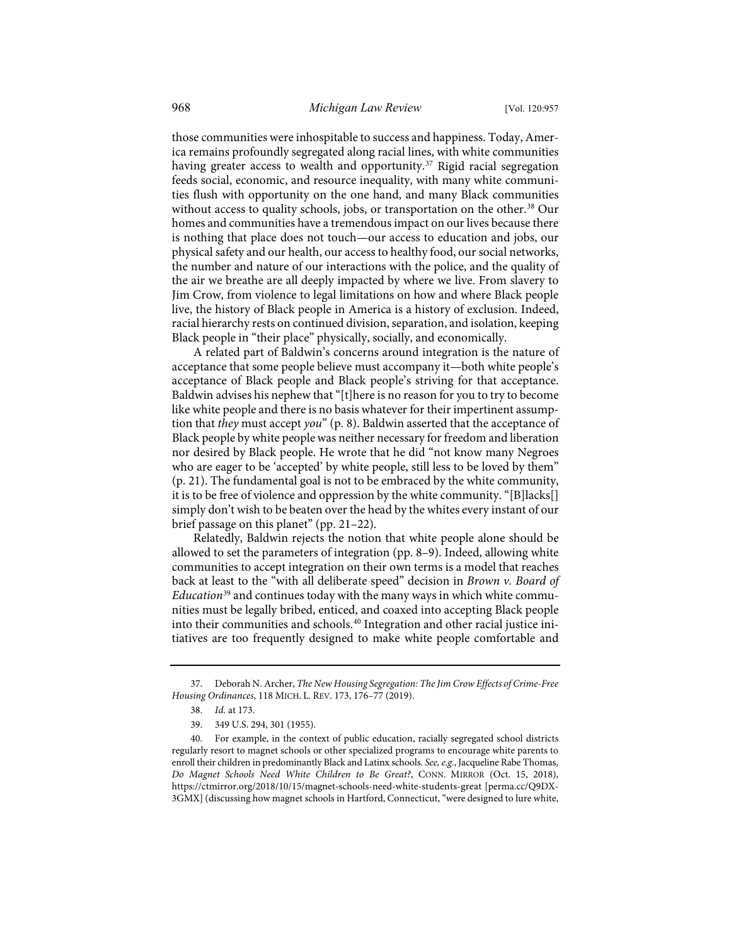those communities were inhospitable to success and happiness. Today, America remains profoundly segregated along racial lines, with white communities having greater access to wealth and opportunity.<sup>[37](#page-12-0)</sup> Rigid racial segregation feeds social, economic, and resource inequality, with many white communities flush with opportunity on the one hand, and many Black communities without access to quality schools, jobs, or transportation on the other.<sup>[38](#page-12-1)</sup> Our homes and communities have a tremendous impact on our lives because there is nothing that place does not touch—our access to education and jobs, our physical safety and our health, our access to healthy food, our social networks, the number and nature of our interactions with the police, and the quality of the air we breathe are all deeply impacted by where we live. From slavery to Jim Crow, from violence to legal limitations on how and where Black people live, the history of Black people in America is a history of exclusion. Indeed, racial hierarchy rests on continued division, separation, and isolation, keeping Black people in "their place" physically, socially, and economically.

A related part of Baldwin's concerns around integration is the nature of acceptance that some people believe must accompany it—both white people's acceptance of Black people and Black people's striving for that acceptance. Baldwin advises his nephew that "[t]here is no reason for you to try to become like white people and there is no basis whatever for their impertinent assumption that *they* must accept *you*" (p. 8). Baldwin asserted that the acceptance of Black people by white people was neither necessary for freedom and liberation nor desired by Black people. He wrote that he did "not know many Negroes who are eager to be 'accepted' by white people, still less to be loved by them" (p. 21). The fundamental goal is not to be embraced by the white community, it is to be free of violence and oppression by the white community. "[B]lacks[] simply don't wish to be beaten over the head by the whites every instant of our brief passage on this planet" (pp. 21–22).

Relatedly, Baldwin rejects the notion that white people alone should be allowed to set the parameters of integration (pp. 8–9). Indeed, allowing white communities to accept integration on their own terms is a model that reaches back at least to the "with all deliberate speed" decision in *Brown v. Board of Education*[39](#page-12-2) and continues today with the many ways in which white communities must be legally bribed, enticed, and coaxed into accepting Black people into their communities and schools.<sup>[40](#page-12-3)</sup> Integration and other racial justice initiatives are too frequently designed to make white people comfortable and

<span id="page-12-0"></span><sup>37.</sup> Deborah N. Archer, *The New Housing Segregation: The Jim Crow Effects of Crime-Free Housing Ordinances*, 118 MICH. L. REV. 173, 176–77 (2019).

<sup>38.</sup> *Id.* at 173.

<sup>39. 349</sup> U.S. 294, 301 (1955).

<span id="page-12-3"></span><span id="page-12-2"></span><span id="page-12-1"></span><sup>40.</sup> For example, in the context of public education, racially segregated school districts regularly resort to magnet schools or other specialized programs to encourage white parents to enroll their children in predominantly Black and Latinx schools. *See, e.g.*, Jacqueline Rabe Thomas, *Do Magnet Schools Need White Children to Be Great?*, CONN. MIRROR (Oct. 15, 2018), <https://ctmirror.org/2018/10/15/magnet-schools-need-white-students-great>[\[perma.cc/Q9DX-](https://perma.cc/Q9DX-3GMX)[3GMX\]](https://perma.cc/Q9DX-3GMX) (discussing how magnet schools in Hartford, Connecticut, "were designed to lure white,